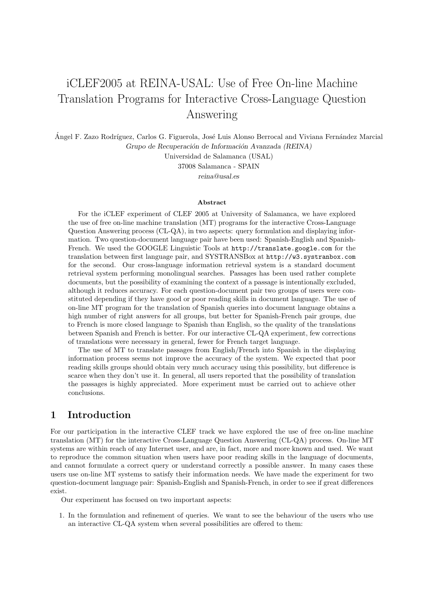# iCLEF2005 at REINA-USAL: Use of Free On-line Machine Translation Programs for Interactive Cross-Language Question Answering

Ángel F. Zazo Rodríguez, Carlos G. Figuerola, José Luis Alonso Berrocal and Viviana Fernández Marcial Grupo de Recuperación de Información Avanzada (REINA)

> Universidad de Salamanca (USAL) 37008 Salamanca - SPAIN reina@usal.es

#### Abstract

For the iCLEF experiment of CLEF 2005 at University of Salamanca, we have explored the use of free on-line machine translation (MT) programs for the interactive Cross-Language Question Answering process (CL-QA), in two aspects: query formulation and displaying information. Two question-document language pair have been used: Spanish-English and Spanish-French. We used the GOOGLE Linguistic Tools at http://translate.google.com for the translation between first language pair, and SYSTRANSBox at http://w3.systranbox.com for the second. Our cross-language information retrieval system is a standard document retrieval system performing monolingual searches. Passages has been used rather complete documents, but the possibility of examining the context of a passage is intentionally excluded, although it reduces accuracy. For each question-document pair two groups of users were constituted depending if they have good or poor reading skills in document language. The use of on-line MT program for the translation of Spanish queries into document language obtains a high number of right answers for all groups, but better for Spanish-French pair groups, due to French is more closed language to Spanish than English, so the quality of the translations between Spanish and French is better. For our interactive CL-QA experiment, few corrections of translations were necessary in general, fewer for French target language.

The use of MT to translate passages from English/French into Spanish in the displaying information process seems not improve the accuracy of the system. We expected that poor reading skills groups should obtain very much accuracy using this possibility, but difference is scarce when they don't use it. In general, all users reported that the possibility of translation the passages is highly appreciated. More experiment must be carried out to achieve other conclusions.

### 1 Introduction

For our participation in the interactive CLEF track we have explored the use of free on-line machine translation (MT) for the interactive Cross-Language Question Answering (CL-QA) process. On-line MT systems are within reach of any Internet user, and are, in fact, more and more known and used. We want to reproduce the common situation when users have poor reading skills in the language of documents, and cannot formulate a correct query or understand correctly a possible answer. In many cases these users use on-line MT systems to satisfy their information needs. We have made the experiment for two question-document language pair: Spanish-English and Spanish-French, in order to see if great differences exist.

Our experiment has focused on two important aspects:

1. In the formulation and refinement of queries. We want to see the behaviour of the users who use an interactive CL-QA system when several possibilities are offered to them: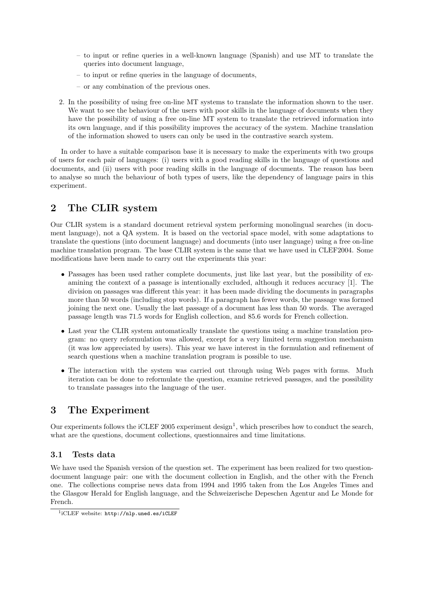- to input or refine queries in a well-known language (Spanish) and use MT to translate the queries into document language,
- to input or refine queries in the language of documents,
- or any combination of the previous ones.
- 2. In the possibility of using free on-line MT systems to translate the information shown to the user. We want to see the behaviour of the users with poor skills in the language of documents when they have the possibility of using a free on-line MT system to translate the retrieved information into its own language, and if this possibility improves the accuracy of the system. Machine translation of the information showed to users can only be used in the contrastive search system.

In order to have a suitable comparison base it is necessary to make the experiments with two groups of users for each pair of languages: (i) users with a good reading skills in the language of questions and documents, and (ii) users with poor reading skills in the language of documents. The reason has been to analyse so much the behaviour of both types of users, like the dependency of language pairs in this experiment.

# 2 The CLIR system

Our CLIR system is a standard document retrieval system performing monolingual searches (in document language), not a QA system. It is based on the vectorial space model, with some adaptations to translate the questions (into document language) and documents (into user language) using a free on-line machine translation program. The base CLIR system is the same that we have used in CLEF2004. Some modifications have been made to carry out the experiments this year:

- Passages has been used rather complete documents, just like last year, but the possibility of examining the context of a passage is intentionally excluded, although it reduces accuracy [1]. The division on passages was different this year: it has been made dividing the documents in paragraphs more than 50 words (including stop words). If a paragraph has fewer words, the passage was formed joining the next one. Usually the last passage of a document has less than 50 words. The averaged passage length was 71.5 words for English collection, and 85.6 words for French collection.
- Last year the CLIR system automatically translate the questions using a machine translation program: no query reformulation was allowed, except for a very limited term suggestion mechanism (it was low appreciated by users). This year we have interest in the formulation and refinement of search questions when a machine translation program is possible to use.
- The interaction with the system was carried out through using Web pages with forms. Much iteration can be done to reformulate the question, examine retrieved passages, and the possibility to translate passages into the language of the user.

# 3 The Experiment

Our experiments follows the iCLEF 2005 experiment design<sup>1</sup>, which prescribes how to conduct the search, what are the questions, document collections, questionnaires and time limitations.

### 3.1 Tests data

We have used the Spanish version of the question set. The experiment has been realized for two questiondocument language pair: one with the document collection in English, and the other with the French one. The collections comprise news data from 1994 and 1995 taken from the Los Angeles Times and the Glasgow Herald for English language, and the Schweizerische Depeschen Agentur and Le Monde for French.

<sup>1</sup> iCLEF website: http://nlp.uned.es/iCLEF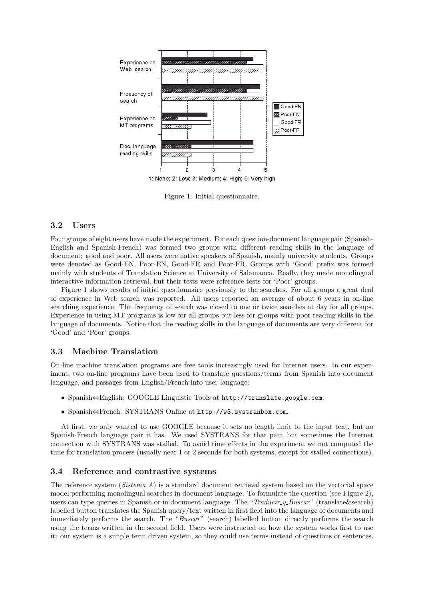

Figure 1: Initial questionnaire.

### 3.2 Users

Four groups of eight users have made the experiment. For each question-document language pair (Spanish-English and Spanish-French) was formed two groups with different reading skills in the language of document: good and poor. All users were native speakers of Spanish, mainly university students. Groups were denoted as Good-EN, Poor-EN, Good-FR and Poor-FR. Groups with 'Good' prefix was formed mainly with students of Translation Science at University of Salamanca. Really, they made monolingual interactive information retrieval, but their tests were reference tests for 'Poor' groups.

Figure 1 shows results of initial questionnaire previously to the searches. For all groups a great deal of experience in Web search was reported. All users reported an average of about 6 years in on-line searching experience. The frequency of search was closed to one or twice searches at day for all groups. Experience in using MT programs is low for all groups but less for groups with poor reading skills in the language of documents. Notice that the reading skills in the language of documents are very different for 'Good' and 'Poor' groups.

### 3.3 Machine Translation

On-line machine translation programs are free tools increasingly used for Internet users. In our experiment, two on-line programs have been used to translate questions/terms from Spanish into document language, and passages from English/French into user language:

- Spanish⇔English: GOOGLE Linguistic Tools at http://translate.google.com.
- Spanish⇔French: SYSTRANS Online at http://w3.systranbox.com.

At first, we only wanted to use GOOGLE because it sets no length limit to the input text, but no Spanish-French language pair it has. We used SYSTRANS for that pair, but sometimes the Internet connection with SYSTRANS was stalled. To avoid time effects in the experiment we not computed the time for translation process (usually near 1 or 2 seconds for both systems, except for stalled connections).

### 3.4 Reference and contrastive systems

The reference system (Sistema  $A$ ) is a standard document retrieval system based on the vectorial space model performing monolingual searches in document language. To formulate the question (see Figure 2), users can type queries in Spanish or in document language. The "*Traducir-y-Buscar*" (translate&search) labelled button translates the Spanish query/text written in first field into the language of documents and immediately performs the search. The "Buscar" (search) labelled button directly performs the search using the terms written in the second field. Users were instructed on how the system works first to use it: our system is a simple term driven system, so they could use terms instead of questions or sentences.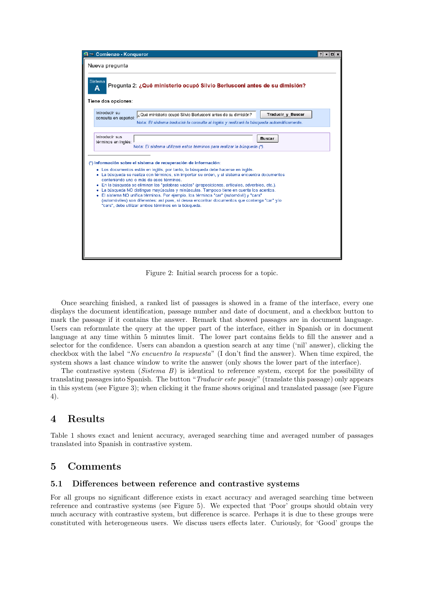

Figure 2: Initial search process for a topic.

Once searching finished, a ranked list of passages is showed in a frame of the interface, every one displays the document identification, passage number and date of document, and a checkbox button to mark the passage if it contains the answer. Remark that showed passages are in document language. Users can reformulate the query at the upper part of the interface, either in Spanish or in document language at any time within 5 minutes limit. The lower part contains fields to fill the answer and a selector for the confidence. Users can abandon a question search at any time ('nil' answer), clicking the checkbox with the label "No encuentro la respuesta" (I don't find the answer). When time expired, the system shows a last chance window to write the answer (only shows the lower part of the interface).

The contrastive system (Sistema B) is identical to reference system, except for the possibility of translating passages into Spanish. The button "Traducir este pasaje" (translate this passage) only appears in this system (see Figure 3); when clicking it the frame shows original and translated passage (see Figure 4).

# 4 Results

Table 1 shows exact and lenient accuracy, averaged searching time and averaged number of passages translated into Spanish in contrastive system.

# 5 Comments

### 5.1 Differences between reference and contrastive systems

For all groups no significant difference exists in exact accuracy and averaged searching time between reference and contrastive systems (see Figure 5). We expected that 'Poor' groups should obtain very much accuracy with contrastive system, but difference is scarce. Perhaps it is due to these groups were constituted with heterogeneous users. We discuss users effects later. Curiously, for 'Good' groups the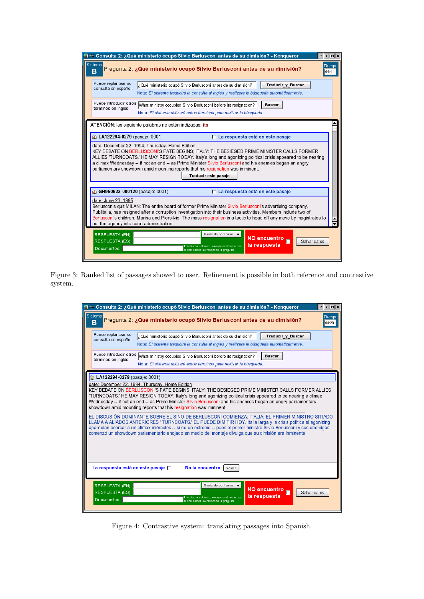| ी ∸≋ Consulta 2: ¿Qué ministerio ocupó Silvio Berlusconi antes de su dimisión? - Konqueror<br>$\frac{1}{2}$ $\frac{1}{2}$ $\frac{1}{2}$ $\frac{1}{2}$ $\frac{1}{2}$                                                                                                                                                                                                                                                                                                               |  |  |  |  |  |
|-----------------------------------------------------------------------------------------------------------------------------------------------------------------------------------------------------------------------------------------------------------------------------------------------------------------------------------------------------------------------------------------------------------------------------------------------------------------------------------|--|--|--|--|--|
| Sistema<br>Tiempo<br>Pregunta 2: ¿Qué ministerio ocupó Silvio Berlusconi antes de su dimisión?<br>в<br>04:41                                                                                                                                                                                                                                                                                                                                                                      |  |  |  |  |  |
| Puede replantear su<br>Traducir y Buscar<br>¿Qué ministerio ocupó Silvio Berlusconi antes de su dimisión?<br>consulta en español:<br>Nota: El sistema traducirá la consulta al inglés y realizará la búsqueda automáticamente.                                                                                                                                                                                                                                                    |  |  |  |  |  |
| Puede introducir otros What ministry occupied Silvio Berlusconi before its resignation?<br><b>Buscar</b><br>términos en inglés:<br>Nota: El sistema utilizará estos términos para realizar la búsqueda.                                                                                                                                                                                                                                                                           |  |  |  |  |  |
| ATENCIÓN: las siguiente palabras no están indizadas: its                                                                                                                                                                                                                                                                                                                                                                                                                          |  |  |  |  |  |
| (b) LA122294-0279 (pasaje: 0001)<br>□ La respuesta está en este pasaje                                                                                                                                                                                                                                                                                                                                                                                                            |  |  |  |  |  |
| date: December 22, 1994, Thursday, Home Edition<br>KEY DEBATE ON BERLUSCONI'S FATE BEGINS; ITALY: THE BESIEGED PRIME MINISTER CALLS FORMER<br>ALLIES 'TURNCOATS.' HE MAY RESIGN TODAY. Italy's long and agonizing political crisis appeared to be nearing<br>a climax Wednesday -- if not an end -- as Prime Minister Silvio Berlusconi and his enemies began an angry<br>parliamentary showdown amid mounting reports that his resignation was imminent.<br>Traducir este pasaje |  |  |  |  |  |
| CH950623-000120 (pasaje: 0001)<br>□ La respuesta está en este pasaje                                                                                                                                                                                                                                                                                                                                                                                                              |  |  |  |  |  |
| date: June 23, 1995<br>Berlusconis quit MILAN: The entire board of former Prime Minister Silvio Berlusconi's advertising company,<br>Publitalia, has resigned after a corruption investigation into their business activities. Members include two of<br>Berlusconi's children, Marina and Piersilvio. The mass resignation is a tactic to head off any move by magistrates to<br>put the agency into court administration.                                                       |  |  |  |  |  |
| Grado de confianza $\blacktriangledown$<br><b>RESPUESTA (EN):</b><br><b>NO encuentro</b><br>RESPUESTA (ES):<br>Salvar datos<br>la respuesta<br>Introduzca solo uno, excepcionalmente dos<br>Documentos:<br>si con ambos se responde la pregunta.                                                                                                                                                                                                                                  |  |  |  |  |  |
|                                                                                                                                                                                                                                                                                                                                                                                                                                                                                   |  |  |  |  |  |

Figure 3: Ranked list of passages showed to user. Refinement is possible in both reference and contrastive system.

| ीं ∸≝ Consulta 2: ¿Qué ministerio ocupó Silvio Berlusconi antes de su dimisión? - Konqueror<br>$?$ $  $ $  $ $  $ $x$                                                                                                                                                                                                                                                                                                                                                                                                                                                                                                                                                                                                                                                                                                                                                                                                                                 |  |
|-------------------------------------------------------------------------------------------------------------------------------------------------------------------------------------------------------------------------------------------------------------------------------------------------------------------------------------------------------------------------------------------------------------------------------------------------------------------------------------------------------------------------------------------------------------------------------------------------------------------------------------------------------------------------------------------------------------------------------------------------------------------------------------------------------------------------------------------------------------------------------------------------------------------------------------------------------|--|
| Sistema<br>Tiempo<br>Pregunta 2: ¿Qué ministerio ocupó Silvio Berlusconi antes de su dimisión?<br>в<br>04:20                                                                                                                                                                                                                                                                                                                                                                                                                                                                                                                                                                                                                                                                                                                                                                                                                                          |  |
| Puede replantear su<br><b>Traducir y Buscar</b><br>¿Qué ministerio ocupó Silvio Berlusconi antes de su dimisión?<br>consulta en español:<br>Nota: El sistema traducirá la consulta al inglés y realizará la búsqueda automáticamente.                                                                                                                                                                                                                                                                                                                                                                                                                                                                                                                                                                                                                                                                                                                 |  |
| Puede introducir otros<br>What ministry occupied Silvio Berlusconi before its resignation?<br><b>Buscar</b><br>términos en inglés:<br>Nota: El sistema utilizará estos términos para realizar la búsqueda.                                                                                                                                                                                                                                                                                                                                                                                                                                                                                                                                                                                                                                                                                                                                            |  |
| (b) LA122294-0279 (pasaje: 0001)<br>date: December 22, 1994, Thursday, Home Edition<br>KEY DEBATE ON BERLUSCONI'S FATE BEGINS: ITALY: THE BESIEGED PRIME MINISTER CALLS FORMER ALLIES<br>'TURNCOATS.' HE MAY RESIGN TODAY. Italy's long and agonizing political crisis appeared to be nearing a climax<br>Wednesday -- if not an end -- as Prime Minister Silvio Berlusconi and his enemies began an angry parliamentary<br>showdown amid mounting reports that his resignation was imminent.<br>EL DISCUSIÓN DOMINANTE SOBRE EL SINO DE BERLUSCONI COMIENZA; ITALIA: EL PRIMER MINISTRO SITIADO<br>LLAMA A ALIADOS ANTERIORES ' TURNCOATS.' ÉL PUEDE DIMITIR HOY. Italia larga y la crisis política el agonizing<br>aparecían acercar a un clímax miércoles -- si no un extremo -- pues el primer ministro Silvio Berlusconi y sus enemigos<br>comenzó un showdown parlamentario enojado en medio del montaje divulga que su dimisión era inminente. |  |
| La respuesta está en este pasaje $\square$<br>No la encuentro:<br>Volver                                                                                                                                                                                                                                                                                                                                                                                                                                                                                                                                                                                                                                                                                                                                                                                                                                                                              |  |
| Grado de confianza v<br><b>RESPUESTA (EN):</b><br><b>NO encuentro</b><br><b>RESPUESTA (ES):</b><br>Salvar datos<br>┍<br>la respuesta<br>Introduzca solo uno, excepcionalmente dos<br>Documentos:<br>si con ambos se responde la pregunta.                                                                                                                                                                                                                                                                                                                                                                                                                                                                                                                                                                                                                                                                                                             |  |

Figure 4: Contrastive system: translating passages into Spanish.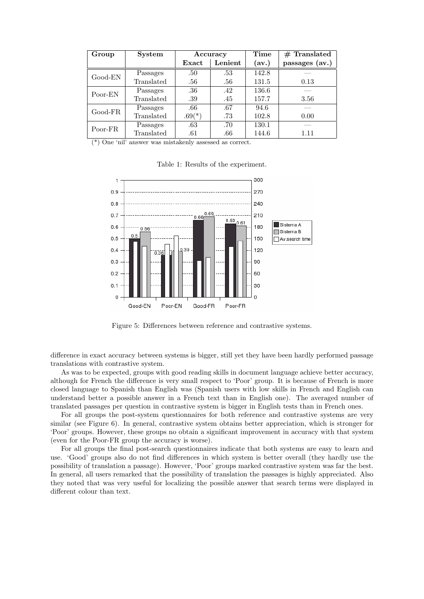| Group     | <b>System</b> | Accuracy |         | Time  | $#$ Translated |
|-----------|---------------|----------|---------|-------|----------------|
|           |               | Exact    | Lenient | (av.) | passages (av.) |
| Good-EN   | Passages      | .50      | .53     | 142.8 |                |
|           | Translated    | .56      | .56     | 131.5 | 0.13           |
| Poor-EN   | Passages      | .36      | .42     | 136.6 |                |
|           | Translated    | .39      | .45     | 157.7 | 3.56           |
| $Good-FR$ | Passages      | .66      | .67     | 94.6  |                |
|           | Translated    | $.69(*)$ | .73     | 102.8 | 0.00           |
| Poor-FR   | Passages      | .63      | .70     | 130.1 |                |
|           | Translated    | .61      | .66     | 144.6 | 1.11           |

(\*) One 'nil' answer was mistakenly assessed as correct.

Table 1: Results of the experiment.



Figure 5: Differences between reference and contrastive systems.

difference in exact accuracy between systems is bigger, still yet they have been hardly performed passage translations with contrastive system.

As was to be expected, groups with good reading skills in document language achieve better accuracy, although for French the difference is very small respect to 'Poor' group. It is because of French is more closed language to Spanish than English was (Spanish users with low skills in French and English can understand better a possible answer in a French text than in English one). The averaged number of translated passages per question in contrastive system is bigger in English tests than in French ones.

For all groups the post-system questionnaires for both reference and contrastive systems are very similar (see Figure 6). In general, contrastive system obtains better appreciation, which is stronger for 'Poor' groups. However, these groups no obtain a significant improvement in accuracy with that system (even for the Poor-FR group the accuracy is worse).

For all groups the final post-search questionnaires indicate that both systems are easy to learn and use. 'Good' groups also do not find differences in which system is better overall (they hardly use the possibility of translation a passage). However, 'Poor' groups marked contrastive system was far the best. In general, all users remarked that the possibility of translation the passages is highly appreciated. Also they noted that was very useful for localizing the possible answer that search terms were displayed in different colour than text.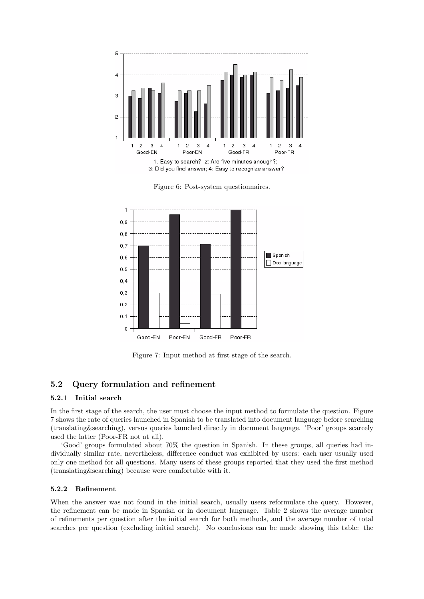

Figure 6: Post-system questionnaires.



Figure 7: Input method at first stage of the search.

### 5.2 Query formulation and refinement

### 5.2.1 Initial search

In the first stage of the search, the user must choose the input method to formulate the question. Figure 7 shows the rate of queries launched in Spanish to be translated into document language before searching (translating&searching), versus queries launched directly in document language. 'Poor' groups scarcely used the latter (Poor-FR not at all).

'Good' groups formulated about 70% the question in Spanish. In these groups, all queries had individually similar rate, nevertheless, difference conduct was exhibited by users: each user usually used only one method for all questions. Many users of these groups reported that they used the first method (translating&searching) because were comfortable with it.

### 5.2.2 Refinement

When the answer was not found in the initial search, usually users reformulate the query. However, the refinement can be made in Spanish or in document language. Table 2 shows the average number of refinements per question after the initial search for both methods, and the average number of total searches per question (excluding initial search). No conclusions can be made showing this table: the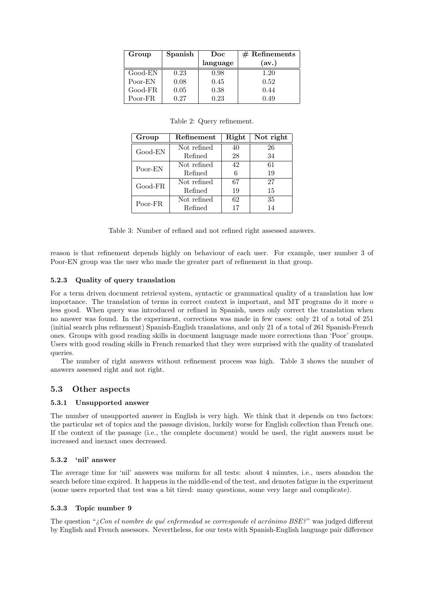| Group     | Spanish | Doc      | $#$ Refinements |
|-----------|---------|----------|-----------------|
|           |         | language | (av.)           |
| $Good-EN$ | 0.23    | 0.98     | 1.20            |
| Poor-EN   | 0.08    | 0.45     | 0.52            |
| Good-FR   | 0.05    | 0.38     | 0.44            |
| Poor-FR   | 0.27    | 0.23     | 0.49            |

| Group     | Refinement  | Right | Not right |
|-----------|-------------|-------|-----------|
| Good-EN   | Not refined | 40    | 26        |
|           | Refined     | 28    | 34        |
| Poor-EN   | Not refined | 42    | 61        |
|           | Refined     | 6     | 19        |
| $Good-FR$ | Not refined | 67    | 27        |
|           | Refined     | 19    | 15        |
| Poor-FR   | Not refined | 62    | 35        |
|           | Refined     | 17    | 14        |

Table 3: Number of refined and not refined right assessed answers.

reason is that refinement depends highly on behaviour of each user. For example, user number 3 of Poor-EN group was the user who made the greater part of refinement in that group.

### 5.2.3 Quality of query translation

For a term driven document retrieval system, syntactic or grammatical quality of a translation has low importance. The translation of terms in correct context is important, and MT programs do it more o less good. When query was introduced or refined in Spanish, users only correct the translation when no answer was found. In the experiment, corrections was made in few cases: only 21 of a total of 251 (initial search plus refinement) Spanish-English translations, and only 21 of a total of 261 Spanish-French ones. Groups with good reading skills in document language made more corrections than 'Poor' groups. Users with good reading skills in French remarked that they were surprised with the quality of translated queries.

The number of right answers without refinement process was high. Table 3 shows the number of answers assessed right and not right.

### 5.3 Other aspects

### 5.3.1 Unsupported answer

The number of unsupported answer in English is very high. We think that it depends on two factors: the particular set of topics and the passage division, luckily worse for English collection than French one. If the context of the passage (i.e., the complete document) would be used, the right answers must be increased and inexact ones decreased.

### 5.3.2 'nil' answer

The average time for 'nil' answers was uniform for all tests: about 4 minutes, i.e., users abandon the search before time expired. It happens in the middle-end of the test, and denotes fatigue in the experiment (some users reported that test was a bit tired: many questions, some very large and complicate).

### 5.3.3 Topic number 9

The question " $i$ Con el nombre de qué enfermedad se corresponde el acrónimo  $BSE$ ?" was judged different by English and French assessors. Nevertheless, for our tests with Spanish-English language pair difference